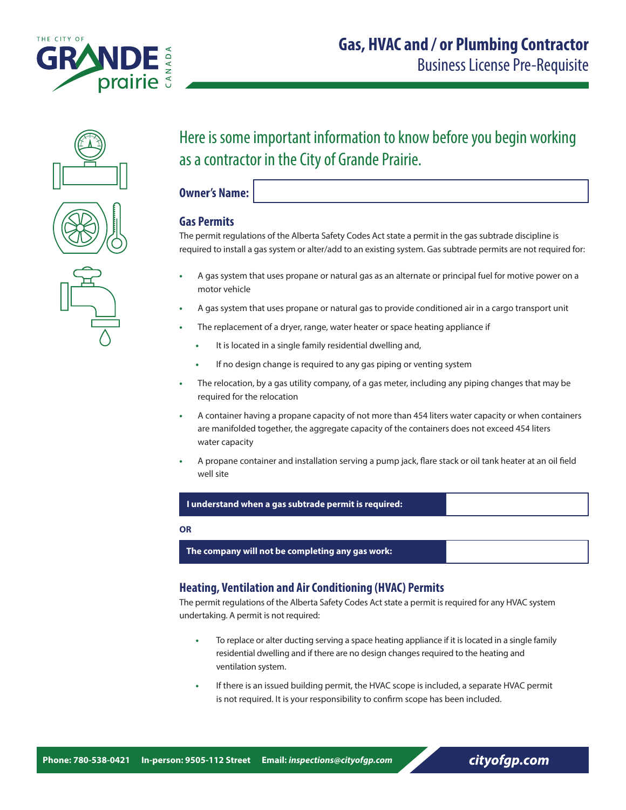







# Here is some important information to know before you begin working as a contractor in the City of Grande Prairie.

**Owner's Name:**

# **Gas Permits**

The permit regulations of the Alberta Safety Codes Act state a permit in the gas subtrade discipline is required to install a gas system or alter/add to an existing system. Gas subtrade permits are not required for:

- **•** A gas system that uses propane or natural gas as an alternate or principal fuel for motive power on a motor vehicle
- **•** A gas system that uses propane or natural gas to provide conditioned air in a cargo transport unit
- **•** The replacement of a dryer, range, water heater or space heating appliance if
	- **•** It is located in a single family residential dwelling and,
	- **•** If no design change is required to any gas piping or venting system
- **•** The relocation, by a gas utility company, of a gas meter, including any piping changes that may be required for the relocation
- **•** A container having a propane capacity of not more than 454 liters water capacity or when containers are manifolded together, the aggregate capacity of the containers does not exceed 454 liters water capacity
- **•** A propane container and installation serving a pump jack, flare stack or oil tank heater at an oil field well site

## **I understand when a gas subtrade permit is required:**

#### **OR**

 **The company will not be completing any gas work:** 

# **Heating, Ventilation and Air Conditioning (HVAC) Permits**

The permit regulations of the Alberta Safety Codes Act state a permit is required for any HVAC system undertaking. A permit is not required:

- **•** To replace or alter ducting serving a space heating appliance if it is located in a single family residential dwelling and if there are no design changes required to the heating and ventilation system.
- **•** If there is an issued building permit, the HVAC scope is included, a separate HVAC permit is not required. It is your responsibility to confirm scope has been included.

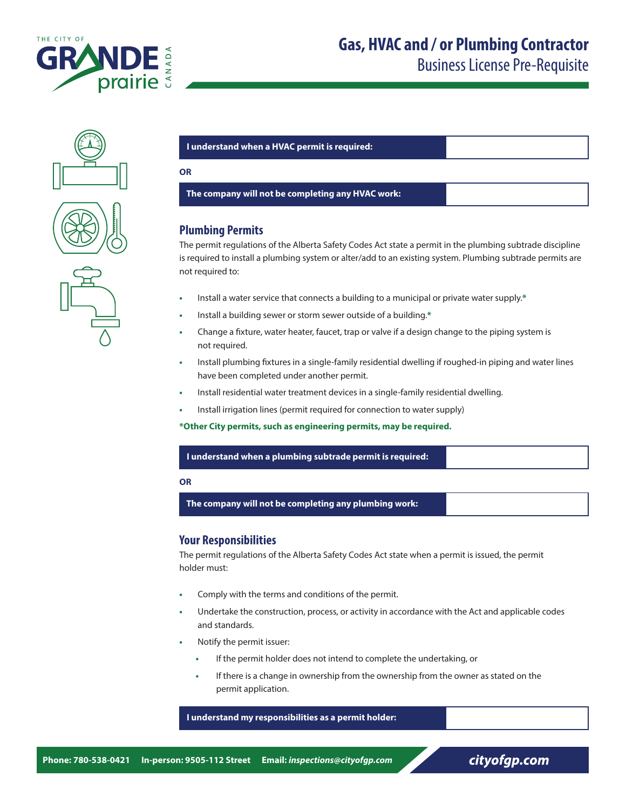

Business License Pre-Requisite







#### **I understand when a HVAC permit is required:**

#### **OR**

 **The company will not be completing any HVAC work:**

# **Plumbing Permits**

The permit regulations of the Alberta Safety Codes Act state a permit in the plumbing subtrade discipline is required to install a plumbing system or alter/add to an existing system. Plumbing subtrade permits are not required to:

- **•** Install a water service that connects a building to a municipal or private water supply.**\***
- **•** Install a building sewer or storm sewer outside of a building.**\***
- **•** Change a fixture, water heater, faucet, trap or valve if a design change to the piping system is not required.
- **•** Install plumbing fixtures in a single-family residential dwelling if roughed-in piping and water lines have been completed under another permit.
- **•** Install residential water treatment devices in a single-family residential dwelling.
- **•** Install irrigation lines (permit required for connection to water supply)

**\*Other City permits, such as engineering permits, may be required.**

#### **I understand when a plumbing subtrade permit is required:**

#### **OR**

 **The company will not be completing any plumbing work:** 

## **Your Responsibilities**

The permit regulations of the Alberta Safety Codes Act state when a permit is issued, the permit holder must:

- **•** Comply with the terms and conditions of the permit.
- **•** Undertake the construction, process, or activity in accordance with the Act and applicable codes and standards.
- **•** Notify the permit issuer:
	- **•** If the permit holder does not intend to complete the undertaking, or
	- **•** If there is a change in ownership from the ownership from the owner as stated on the permit application.

 **I understand my responsibilities as a permit holder:**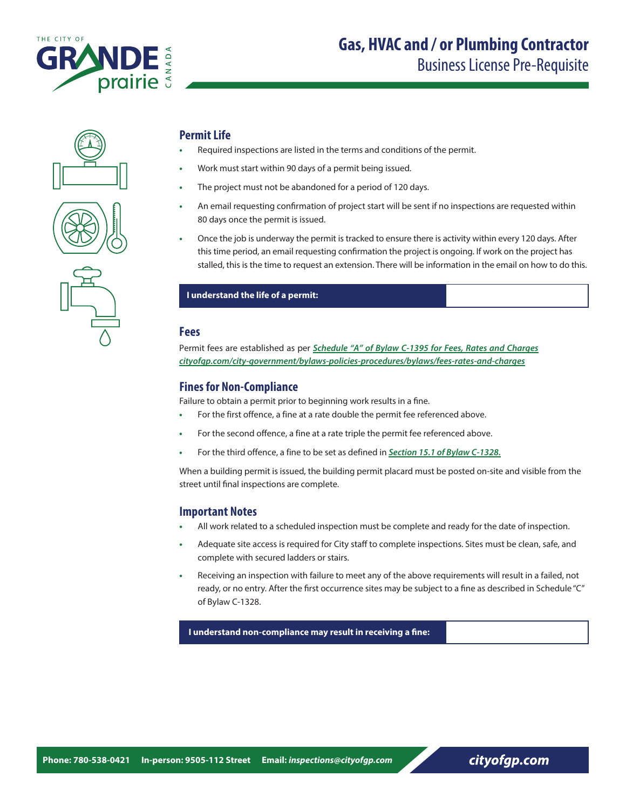







# **Permit Life**

- **•** Required inspections are listed in the terms and conditions of the permit.
- **•** Work must start within 90 days of a permit being issued.
- **•** The project must not be abandoned for a period of 120 days.
- **•** An email requesting confirmation of project start will be sent if no inspections are requested within 80 days once the permit is issued.
- **•** Once the job is underway the permit is tracked to ensure there is activity within every 120 days. After this time period, an email requesting confirmation the project is ongoing. If work on the project has stalled, this is the time to request an extension. There will be information in the email on how to do this.

# **I understand the life of a permit:**

# **Fees**

Permit fees are established as per *[Schedule "A" of Bylaw C-1395 for Fees, Rates and Charges](https://www.cityofgp.com/city-government/bylaws-policies-procedures/bylaws/fees-rates-and-charges)  [cityofgp.com/city-government/bylaws-policies-procedures/bylaws/fees-rates-and-charges](https://www.cityofgp.com/city-government/bylaws-policies-procedures/bylaws/fees-rates-and-charges)*

# **Fines for Non-Compliance**

Failure to obtain a permit prior to beginning work results in a fine.

- **•** For the first offence, a fine at a rate double the permit fee referenced above.
- **•** For the second offence, a fine at a rate triple the permit fee referenced above.
- **•** For the third offence, a fine to be set as defined in *[Section 15.1 of Bylaw C-1328.](https://www.cityofgp.com/city-government/bylaws-policies-procedures/bylaws/fees-rates-and-charges)*

When a building permit is issued, the building permit placard must be posted on-site and visible from the street until final inspections are complete.

# **Important Notes**

- **•** All work related to a scheduled inspection must be complete and ready for the date of inspection.
- **•** Adequate site access is required for City staff to complete inspections. Sites must be clean, safe, and complete with secured ladders or stairs.
- **•** Receiving an inspection with failure to meet any of the above requirements will result in a failed, not ready, or no entry. After the first occurrence sites may be subject to a fine as described in Schedule "C" of Bylaw C-1328.

 **I understand non-compliance may result in receiving a fine:**